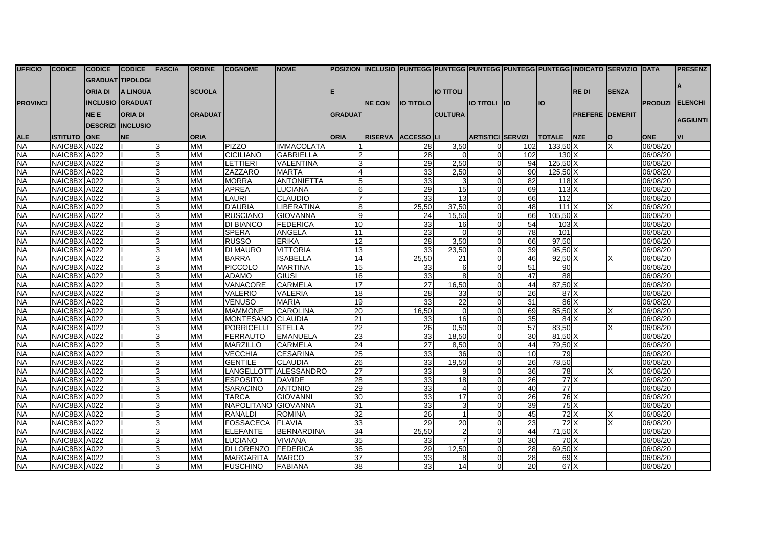| <b>UFFICIO</b>                         | <b>CODICE</b>                | <b>CODICE</b>           | <b>CODICE</b>   | <b>FASCIA</b> | <b>ORDINE</b>          | <b>COGNOME</b>           | <b>NOME</b>                             | POSIZION  INCLUSIO  PUNTEGG  PUNTEGG  PUNTEGG  PUNTEGG  PUNTEGG  INDICATO  SERVIZIO  DATA |                |                    |                  |                          |            |                  |                         |              |                        | <b>IPRESENZ</b> |
|----------------------------------------|------------------------------|-------------------------|-----------------|---------------|------------------------|--------------------------|-----------------------------------------|-------------------------------------------------------------------------------------------|----------------|--------------------|------------------|--------------------------|------------|------------------|-------------------------|--------------|------------------------|-----------------|
|                                        |                              | <b>GRADUAT TIPOLOGI</b> |                 |               |                        |                          |                                         |                                                                                           |                |                    |                  |                          |            |                  |                         |              |                        |                 |
|                                        |                              | ORIA DI                 | <b>A LINGUA</b> |               | <b>SCUOLA</b>          |                          |                                         |                                                                                           |                |                    | <b>IO TITOLI</b> |                          |            |                  | <b>REDI</b>             | <b>SENZA</b> |                        |                 |
|                                        |                              |                         |                 |               |                        |                          |                                         |                                                                                           |                |                    |                  |                          |            |                  |                         |              |                        |                 |
| <b>PROVINCI</b>                        |                              | <b>INCLUSIO GRADUAT</b> |                 |               |                        |                          |                                         |                                                                                           | <b>INE CON</b> | <b>IO TITOLO I</b> |                  | <b>IO TITOLI</b>         | <b>IIO</b> | <b>IO</b>        |                         |              | <b>PRODUZI ELENCHI</b> |                 |
|                                        |                              | <b>NEE</b>              | <b>ORIA DI</b>  |               | <b>IGRADUAT</b>        |                          |                                         | <b>GRADUAT</b>                                                                            |                |                    | <b>CULTURA</b>   |                          |            |                  | <b>PREFERE IDEMERIT</b> |              |                        |                 |
|                                        |                              | <b>DESCRIZI</b>         | <b>INCLUSIO</b> |               |                        |                          |                                         |                                                                                           |                |                    |                  |                          |            |                  |                         |              |                        | <b>AGGIUNTI</b> |
|                                        | <b>ISTITUTO</b>              | <b>ONE</b>              | <b>NE</b>       |               | <b>ORIA</b>            |                          |                                         | <b>ORIA</b>                                                                               | <b>RISERVA</b> | ACCESSOLLI         |                  | <b>ARTISTICI SERVIZI</b> |            | <b>TOTALE</b>    | <b>NZE</b>              | O            | <b>ONE</b>             | <b>IVI</b>      |
| <b>ALE</b><br>$\overline{\mathsf{NA}}$ | NAIC8BX A022                 |                         |                 | 3             | <b>MM</b>              | PIZZO                    | <b>IMMACOLATA</b>                       |                                                                                           |                | 28                 | 3,50             |                          | 102        | $133,50$ X       |                         | X            | 06/08/20               |                 |
| Я                                      | NAIC8BX A022                 |                         |                 | 3             | <b>MM</b>              | <b>CICILIANO</b>         | <b>GABRIELLA</b>                        |                                                                                           |                | 28                 | $\Omega$         |                          | 102        | 130 <sub>X</sub> |                         |              | 06/08/20               |                 |
| <b>NA</b>                              | NAIC8BX A022                 |                         |                 | 3             | <b>MM</b>              | LETTIERI                 | VALENTINA                               |                                                                                           |                | 29                 | 2,50             | 01                       | 94         | 125,50 X         |                         |              | 06/08/20               |                 |
| <b>NA</b>                              | NAIC8BX A022                 |                         |                 |               | <b>MM</b>              | ZAZZARO                  | <b>MARTA</b>                            |                                                                                           |                | 33                 | 2.50             | $\Omega$                 | 90         | $125.50\text{X}$ |                         |              | 06/08/20               |                 |
| <b>NA</b>                              | NAIC8BX A022                 |                         |                 | 3             | <b>MM</b>              | <b>MORRA</b>             | <b>ANTONIETTA</b>                       | 5 <sub>l</sub>                                                                            |                | 33                 | 3                | U                        | 82         | $118$ $X$        |                         |              | 06/08/20               |                 |
| <b>NA</b>                              | NAIC8BX A022                 |                         |                 |               | <b>MM</b>              | <b>APREA</b>             | <b>LUCIANA</b>                          | 6                                                                                         |                | 29                 | 15               | $\Omega$                 | 69         | 113X             |                         |              | 06/08/20               |                 |
| <b>NA</b>                              | NAIC8BX A022                 |                         |                 |               | <b>MM</b>              | LAURI                    | <b>CLAUDIO</b>                          |                                                                                           |                | 33 <sup>1</sup>    | 13               |                          | 66         | 112              |                         |              | 06/08/20               |                 |
| <b>NA</b>                              | NAIC8BX A022                 |                         |                 |               | MM                     | <b>D'AURIA</b>           | <b>LIBERATINA</b>                       | 8                                                                                         |                | 25,50              | 37,50            |                          | 48         | 111X             |                         |              | 06/08/20               |                 |
| <b>NA</b>                              | NAIC8BX A022                 |                         |                 |               | <b>MM</b>              | <b>RUSCIANO</b>          | <b>GIOVANNA</b>                         | 9                                                                                         |                | 24                 | 15.50            | $\Omega$                 | 66         | $105.50$ X       |                         |              | 06/08/20               |                 |
| <b>NA</b>                              | NAIC8BX A022                 |                         |                 | 3             | <b>MM</b>              | <b>DI BIANCO</b>         | FEDERICA                                | 10                                                                                        |                | 33                 | 16               |                          | 54         | $103\text{X}$    |                         |              | 06/08/20               |                 |
| <b>NA</b>                              | NAIC8BX A022                 |                         |                 |               | <b>MM</b>              | <b>SPERA</b>             | <b>ANGELA</b>                           | 11                                                                                        |                | 23                 | $\Omega$         | U                        | 78         | 101              |                         |              | 06/08/20               |                 |
| <b>NA</b>                              | NAIC8BX A022                 |                         |                 | 3             | <b>MM</b>              | <b>RUSSO</b>             | <b>ERIKA</b>                            | 12                                                                                        |                | 28                 | 3,50             | $\Omega$                 | 66         | 97,50            |                         |              | 06/08/20               |                 |
| <b>NA</b>                              | NAIC8BX A022                 |                         |                 | 3             | MM                     | <b>DI MAURO</b>          | <b>VITTORIA</b>                         | 13                                                                                        |                | 33                 | 23,50            |                          | 39         | 95,50 X          |                         |              | 06/08/20               |                 |
| <b>NA</b>                              | NAIC8BX A022                 |                         |                 |               | <b>MM</b>              | <b>BARRA</b>             | <b>ISABELLA</b>                         | 14                                                                                        |                | 25.50              | 21               | U                        | 46         | $92,50$ X        |                         |              | 06/08/20               |                 |
| <b>NA</b>                              | NAIC8BX A022                 |                         |                 |               | <b>MM</b>              | PICCOLO                  | <b>MARTINA</b>                          | 15                                                                                        |                | 33                 | 6                |                          | 51         | 90               |                         |              | 06/08/20               |                 |
| <b>NA</b>                              | NAIC8BX A022                 |                         |                 |               | <b>MM</b>              | <b>ADAMO</b>             | GIUSI                                   | 16                                                                                        |                | 33                 | $\mathbf{8}$     | U                        | 47         | 88               |                         |              | 06/08/20               |                 |
| <b>NA</b>                              | NAIC8BX A022                 |                         |                 | 3             | MM                     | <b>VANACORE</b>          | <b>CARMELA</b>                          | 17                                                                                        |                | 27                 | 16,50            | $\Omega$                 | 44         | $87,50$ X        |                         |              | 06/08/20               |                 |
| <b>NA</b>                              | NAIC8BX A022                 |                         |                 | 3             | <b>MM</b>              | <b>VALERIO</b>           | <b>VALERIA</b>                          | 18                                                                                        |                | 28                 | 33               |                          | 26         | 87X              |                         |              | 06/08/20               |                 |
| <b>NA</b>                              | NAIC8BX A022                 |                         |                 |               | <b>MM</b>              | <b>VENUSO</b>            | <b>MARIA</b>                            | 19                                                                                        |                | 33 <sup>1</sup>    | 22               | $\Omega$                 | 31         | 86X              |                         |              | 06/08/20               |                 |
| <b>NA</b>                              | NAIC8BX A022                 |                         |                 | 3             | <b>MM</b>              | <b>MAMMONE</b>           | <b>CAROLINA</b>                         | 20                                                                                        |                | 16,50              | $\Omega$         | $\Omega$                 | 69         | 85,50 X          |                         |              | 06/08/20               |                 |
| <b>NA</b>                              | NAIC8BX A022                 |                         |                 |               | <b>MM</b>              | <b>MONTESANO CLAUDIA</b> |                                         | 21                                                                                        |                | 33                 | 16               | $\Omega$                 | 35         | 84X              |                         |              | 06/08/20               |                 |
| <b>NA</b>                              | NAIC8BX A022                 |                         |                 | 3             | <b>MM</b>              | PORRICELLI               | <b>STELLA</b>                           | 22                                                                                        |                | 26                 | 0.50             | $\Omega$                 | 57         | 83,50            |                         |              | 06/08/20               |                 |
| <b>NA</b>                              | NAIC8BX A022                 |                         |                 | 3             | <b>MM</b>              | <b>FERRAUTO</b>          | <b>EMANUELA</b>                         | 23                                                                                        |                | 33                 | 18,50            | U                        | 30         | $81,50$ X        |                         |              | 06/08/20               |                 |
| <b>NA</b>                              | NAIC8BX A022                 |                         |                 | 3             | <b>MM</b>              | <b>MARZILLO</b>          | <b>CARMELA</b>                          | 24                                                                                        |                | 27                 | 8,50             |                          | 44         | 79,50 X          |                         |              | 06/08/20               |                 |
| <b>NA</b><br><b>NA</b>                 | NAIC8BX A022                 |                         |                 |               | <b>MM</b>              | <b>VECCHIA</b>           | <b>CESARINA</b>                         | 25                                                                                        |                | 33                 | 36               | n                        | 10         | 79               |                         |              | 06/08/20               |                 |
| <b>NA</b>                              | NAIC8BX A022<br>NAIC8BX A022 |                         |                 | 3             | <b>MM</b><br><b>MM</b> | <b>GENTILE</b>           | <b>CLAUDIA</b><br>LANGELLOTT ALESSANDRO | 26<br>27                                                                                  |                | 33<br>33           | 19,50<br>9       | 01<br>ΩI                 | 26<br>36   | 78,50<br>78      |                         |              | 06/08/20<br>06/08/20   |                 |
| <b>NA</b>                              | NAIC8BX A022                 |                         |                 | 3             | <b>MM</b>              | <b>ESPOSITO</b>          | <b>DAVIDE</b>                           | 28                                                                                        |                | 33                 | $\overline{18}$  |                          | 26         | 77x              |                         |              | 06/08/20               |                 |
| <b>NA</b>                              | NAIC8BX A022                 |                         |                 | 3             | <b>MM</b>              | <b>SARACINO</b>          | <b>ANTONIO</b>                          | 29                                                                                        |                | 33                 | $\overline{4}$   |                          | 40         | $\overline{77}$  |                         |              | 06/08/20               |                 |
| <b>NA</b>                              | NAIC8BX A022                 |                         |                 | 3             | <b>MM</b>              | <b>TARCA</b>             | <b>GIOVANNI</b>                         | 30                                                                                        |                | 33                 | 17               | 0                        | 26         | 76X              |                         |              | 06/08/20               |                 |
| <b>NA</b>                              | NAIC8BX A022                 |                         |                 |               | <b>MM</b>              | NAPOLITANO GIOVANNA      |                                         | 31                                                                                        |                | 33                 | 3                | $\Omega$                 | 39         | $75$ $X$         |                         |              | 06/08/20               |                 |
| Я                                      | NAIC8BX A022                 |                         |                 |               | <b>MM</b>              | <b>RANALDI</b>           | <b>ROMINA</b>                           | 32                                                                                        |                | 26                 | $\vert$          | n                        | 45         | $72$ $X$         |                         |              | 06/08/20               |                 |
| <b>NA</b>                              | NAIC8BX A022                 |                         |                 |               | <b>MM</b>              | <b>FOSSACECA IFLAVIA</b> |                                         | 33                                                                                        |                | 29                 | 20               | U                        | 23         | 72 X             |                         |              | 06/08/20               |                 |
| <b>NA</b>                              | NAIC8BX A022                 |                         |                 | 3             | MM                     | <b>ELEFANTE</b>          | <b>BERNARDINA</b>                       | 34                                                                                        |                | 25,50              | $\overline{2}$   | $\Omega$                 | 44         | $71,50$ X        |                         |              | 06/08/20               |                 |
| <b>NA</b>                              | NAIC8BX A022                 |                         |                 |               | <b>MM</b>              | <b>LUCIANO</b>           | <b>VIVIANA</b>                          | 35                                                                                        |                | 33 <sup>1</sup>    |                  | U                        | 30         | 70X              |                         |              | 06/08/20               |                 |
| <b>NA</b>                              | NAIC8BX A022                 |                         |                 |               | <b>MM</b>              | DI LORENZO               | <b>FEDERICA</b>                         | 36                                                                                        |                | 29                 | 12.50            | $\Omega$                 | 28         | 69,50 X          |                         |              | 06/08/20               |                 |
| <b>NA</b>                              | NAIC8BX A022                 |                         |                 | 3             | <b>MM</b>              | <b>MARGARITA</b>         | <b>MARCO</b>                            | 37                                                                                        |                | 33                 | 8                | 01                       | 28         | 69X              |                         |              | 06/08/20               |                 |
| <b>NA</b>                              | NAIC8BX A022                 |                         |                 |               | <b>MM</b>              | <b>FUSCHINO</b>          | <b>FABIANA</b>                          | 38 <sup>l</sup>                                                                           |                | 33                 | 14               | $\Omega$                 | 20         | 67X              |                         |              | 06/08/20               |                 |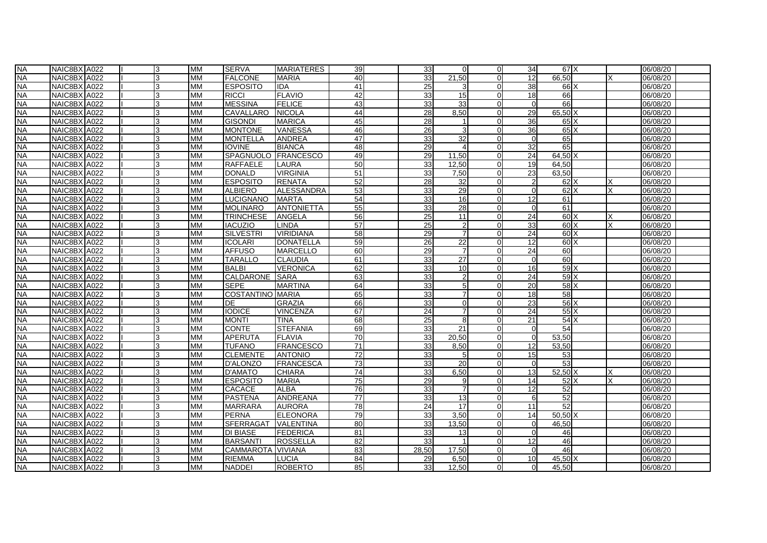| <b>NA</b> | NAIC8BX A022 | 3  | <b>MM</b> | <b>SERVA</b>            | <b>MARIATERES</b> | 39              | 33 <sup>1</sup> |          | $\Omega$       | 34             | 67 <sup>I</sup> X |  | 06/08/20 |  |
|-----------|--------------|----|-----------|-------------------------|-------------------|-----------------|-----------------|----------|----------------|----------------|-------------------|--|----------|--|
| <b>NA</b> | NAIC8BX A022 | 3  | <b>MM</b> | <b>FALCONE</b>          | <b>MARIA</b>      | 40              | 33              | 21,50    |                | 12             | 66,50             |  | 06/08/20 |  |
| <b>NA</b> | NAIC8BX A022 | 3  | МM        | <b>ESPOSITO</b>         | <b>IDA</b>        | 41              | 25              |          |                | 38             | 66 X              |  | 06/08/20 |  |
| <b>NA</b> | NAIC8BX A022 | 3  | MM        | <b>RICCI</b>            | <b>FLAVIO</b>     | 42              | 33              | 15       | U              | 18             | 66                |  | 06/08/20 |  |
| <b>NA</b> | NAIC8BX A022 | 3  | МM        | <b>MESSINA</b>          | <b>FELICE</b>     | 43              | 33              | 33       | $\Omega$       | $\overline{0}$ | 66                |  | 06/08/20 |  |
| <b>NA</b> | NAIC8BX A022 | 3  | <b>MM</b> | <b>CAVALLARO</b>        | <b>NICOLA</b>     | 44              | 28              | 8,50     | $\Omega$       | 29             | 65,50 X           |  | 06/08/20 |  |
| <b>NA</b> | NAIC8BX A022 | 3  | MM        | <b>GISONDI</b>          | <b>MARICA</b>     | 45              | 28              |          | U              | 36             | $65\text{X}$      |  | 06/08/20 |  |
| <b>NA</b> | NAIC8BX A022 |    | <b>MM</b> | <b>MONTONE</b>          | VANESSA           | 46              | 26              |          |                | 36             | $65\text{X}$      |  | 06/08/20 |  |
| <b>NA</b> | NAIC8BX A022 | 3  | МM        | <b>MONTELLA</b>         | <b>ANDREA</b>     | 47              | 33              | 32       | ŋ              | $\overline{0}$ | 65                |  | 06/08/20 |  |
| <b>NA</b> | NAIC8BX A022 | з  | <b>MM</b> | <b>IOVINE</b>           | <b>BIANCA</b>     | 48              | 29              | $\Delta$ | $\Omega$       | 32             | 65                |  | 06/08/20 |  |
| <b>NA</b> | NAIC8BX A022 | ß  | <b>MM</b> | <b>SPAGNUOLO</b>        | <b>FRANCESCO</b>  | 49              | 29              | 11,50    | $\Omega$       | 24             | 64,50 X           |  | 06/08/20 |  |
| <b>NA</b> | NAIC8BX A022 | 3  | МM        | <b>RAFFAELE</b>         | LAURA             | 50              | 33              | 12,50    | $\overline{0}$ | 19             | 64,50             |  | 06/08/20 |  |
| <b>NA</b> | NAIC8BX A022 | 3  | <b>MM</b> | <b>DONALD</b>           | <b>VIRGINIA</b>   | 51              | 33              | 7,50     | $\Omega$       | 23             | 63,50             |  | 06/08/20 |  |
| <b>NA</b> | NAIC8BX A022 | 3  | <b>MM</b> | <b>ESPOSITO</b>         | <b>RENATA</b>     | 52              | 28              | 32       |                | $\overline{2}$ | $62$ $X$          |  | 06/08/20 |  |
| <b>NA</b> | NAIC8BX A022 | 3  | <b>MM</b> | <b>ALBIERO</b>          | <b>ALESSANDRA</b> | 53              | 33              | 29       | U              | $\Omega$       | $62$ $X$          |  | 06/08/20 |  |
| <b>NA</b> | NAIC8BX A022 | 3  | МM        | <b>LUCIGNANO</b>        | <b>MARTA</b>      | 54              | 33              | 16       | 0              | 12             | 61                |  | 06/08/20 |  |
| <b>NA</b> | NAIC8BX A022 | ß  | МM        | <b>MOLINARO</b>         | <b>ANTONIETTA</b> | 55              | 33              | 28       | $\Omega$       | $\Omega$       | 61                |  | 06/08/20 |  |
| <b>NA</b> | NAIC8BX A022 |    | МM        | <b>TRINCHESE</b>        | ANGELA            | 56              | 25              | 11       | $\Omega$       | 24             | 60X               |  | 06/08/20 |  |
| <b>NA</b> | NAIC8BX A022 | 3  | МM        | <b>IACUZIO</b>          | LINDA             | 57              | 25              |          | $\Omega$       | 33             | 60 <sub>X</sub>   |  | 06/08/20 |  |
| <b>NA</b> | NAIC8BX A022 |    | <b>MM</b> | <b>SILVESTRI</b>        | <b>VIRIDIANA</b>  | 58              | 29              |          |                | 24             | 60X               |  | 06/08/20 |  |
| <b>NA</b> | NAIC8BX A022 |    | <b>MM</b> | <b>ICOLARI</b>          | <b>DONATELLA</b>  | 59              | 26              | 22       |                | 12             | 60X               |  | 06/08/20 |  |
| <b>NA</b> | NAIC8BX A022 | 3  | МM        | <b>AFFUSO</b>           | <b>MARCELLO</b>   | 60              | 29              | 7        | U              | 24             | 60                |  | 06/08/20 |  |
| <b>NA</b> | NAIC8BX A022 | 3  | MM        | <b>TARALLO</b>          | <b>CLAUDIA</b>    | 61              | 33              | 27       | 0              | $\overline{0}$ | 60                |  | 06/08/20 |  |
| <b>NA</b> | NAIC8BX A022 | 3  | МM        | <b>BALBI</b>            | <b>VERONICA</b>   | 62              | 33              | 10       | 0              | 16             | 59X               |  | 06/08/20 |  |
| <b>NA</b> | NAIC8BX A022 | 3  | <b>MM</b> | CALDARONE               | <b>ISARA</b>      | 63              | 33              |          | U              | 24             | 59X               |  | 06/08/20 |  |
| <b>NA</b> | NAIC8BX A022 | 3  | МM        | <b>SEPE</b>             | MARTINA           | 64              | 33              |          | U              | 20             | $58$ $X$          |  | 06/08/20 |  |
| <b>NA</b> | NAIC8BX A022 |    | <b>MM</b> | <b>COSTANTINO MARIA</b> |                   | 65              | 33              |          |                | 18             | 58                |  | 06/08/20 |  |
| <b>NA</b> | NAIC8BX A022 | 3  | МM        | DE                      | <b>GRAZIA</b>     | 66              | 33              | ∩        | 0              | 23             | $56$ $X$          |  | 06/08/20 |  |
| <b>NA</b> | NAIC8BX A022 | 3  | МM        | <b>IODICE</b>           | <b>VINCENZA</b>   | 67              | 24              |          | $\Omega$       | 24             | $55\text{X}$      |  | 06/08/20 |  |
| <b>NA</b> | NAIC8BX A022 | ß  | МM        | MONTI                   | <b>TINA</b>       | 68              | 25              | 8        | U              | 21             | 54X               |  | 06/08/20 |  |
| <b>NA</b> | NAIC8BX A022 | 3  | МM        | <b>CONTE</b>            | <b>STEFANIA</b>   | 69              | 33              | 21       | $\Omega$       | $\overline{0}$ | 54                |  | 06/08/20 |  |
| <b>NA</b> | NAIC8BX A022 | 3  | <b>MM</b> | <b>APERUTA</b>          | <b>FLAVIA</b>     | 70              | 33              | 20,50    | $\Omega$       | $\Omega$       | 53,50             |  | 06/08/20 |  |
| <b>NA</b> | NAIC8BX A022 | 3  | <b>MM</b> | <b>TUFANO</b>           | <b>FRANCESCO</b>  | 71              | 33              | 8,50     |                | 12             | 53,50             |  | 06/08/20 |  |
| <b>NA</b> | NAIC8BX A022 | 3  | МM        | <b>CLEMENTE</b>         | <b>ANTONIO</b>    | 72              | 33              | -5       | U              | 15             | 53                |  | 06/08/20 |  |
| <b>NA</b> | NAIC8BX A022 | ß  | <b>MM</b> | D'ALONZO                | <b>FRANCESCA</b>  | 73              | 33              | 20       | U              | $\Omega$       | 53                |  | 06/08/20 |  |
| <b>NA</b> | NAIC8BX A022 | l3 | MM        | D'AMATO                 | CHIARA            | $\overline{74}$ | 33              | 6,50     | 01             | 13             | 52,50 X           |  | 06/08/20 |  |
| <b>NA</b> | NAIC8BX A022 | 3  | МM        | <b>ESPOSITO</b>         | <b>MARIA</b>      | 75              | 29              |          | U              | 14             | $52$ $X$          |  | 06/08/20 |  |
| <b>NA</b> | NAIC8BX A022 | 3  | MM        | <b>CACACE</b>           | <b>ALBA</b>       | 76              | 33              |          | U              | 12             | 52                |  | 06/08/20 |  |
| <b>NA</b> | NAIC8BX A022 |    | <b>MM</b> | <b>PASTENA</b>          | ANDREANA          | 77              | 33              | 13       |                | 6              | 52                |  | 06/08/20 |  |
| <b>NA</b> | NAIC8BX A022 | 3  | МM        | <b>MARRARA</b>          | AURORA            | 78              | 24              | 17       | 0              | 11             | 52                |  | 06/08/20 |  |
| <b>NA</b> | NAIC8BX A022 | з  | <b>MM</b> | <b>PERNA</b>            | <b>ELEONORA</b>   | 79              | 33              | 3.50     | U              | 14             | $50.50\text{X}$   |  | 06/08/20 |  |
| <b>NA</b> | NAIC8BX A022 | ß  | <b>MM</b> | <b>SFERRAGAT</b>        | VALENTINA         | 80              | 33              | 13,50    | U              | $\overline{0}$ | 46,50             |  | 06/08/20 |  |
| <b>NA</b> | NAIC8BX A022 | 3  | МM        | DI BIASE                | <b>FEDERICA</b>   | 81              | 33              | 13       | $\overline{0}$ | $\overline{0}$ | 46                |  | 06/08/20 |  |
| <b>NA</b> | NAIC8BX A022 | 3  | <b>MM</b> | <b>BARSANTI</b>         | <b>ROSSELLA</b>   | 82              | 33              |          | $\Omega$       | 12             | 46                |  | 06/08/20 |  |
| <b>NA</b> | NAIC8BX A022 | 3  | MM        | <b>CAMMAROTA</b>        | VIVIANA           | 83              | 28,50           | 17,50    |                | $\overline{0}$ | 46                |  | 06/08/20 |  |
| <b>NA</b> | NAIC8BX A022 | 13 | МM        | <b>RIEMMA</b>           | LUCIA             | 84              | 29              | 6,50     | U              | 10             | 45,50 X           |  | 06/08/20 |  |
| <b>NA</b> | NAIC8BX A022 | 3  | МM        | <b>NADDEI</b>           | <b>ROBERTO</b>    | 85              | 33              | 12,50    | $\Omega$       | $\Omega$       | 45,50             |  | 06/08/20 |  |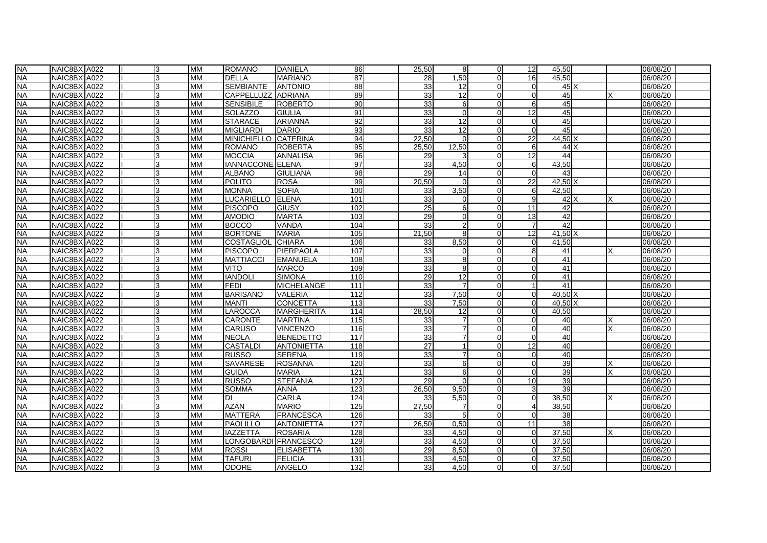| <b>NA</b> | NAIC8BX A022 | 3  | <b>MM</b> | <b>ROMANO</b>            | <b>DANIELA</b>    | 86  | 25,50           | -8              | $\Omega$       | 12             | 45,50           |              | 06/08/20 |
|-----------|--------------|----|-----------|--------------------------|-------------------|-----|-----------------|-----------------|----------------|----------------|-----------------|--------------|----------|
| <b>NA</b> | NAIC8BX A022 | 3  | <b>MM</b> | <b>DELLA</b>             | <b>MARIANO</b>    | 87  | 28              | 1,50            |                | 16             | 45,50           |              | 06/08/20 |
| <b>NA</b> | NAIC8BX A022 | 3  | МM        | <b>SEMBIANTE</b>         | <b>ANTONIO</b>    | 88  | 33              | 12 <sup>1</sup> |                | $\Omega$       |                 | $45\text{X}$ | 06/08/20 |
| <b>NA</b> | NAIC8BX A022 | 3  | <b>MM</b> | <b>CAPPELLUZZ</b>        | <b>ADRIANA</b>    | 89  | 33              | 12              | U              | $\Omega$       | 45              |              | 06/08/20 |
| <b>NA</b> | NAIC8BX A022 | l3 | MM        | <b>SENSIBILE</b>         | <b>ROBERTO</b>    | 90  | 33              | 6               | $\Omega$       | 6              | 45              |              | 06/08/20 |
| <b>NA</b> | NAIC8BX A022 | 3  | <b>MM</b> | <b>SOLAZZO</b>           | <b>GIULIA</b>     | 91  | 33              | റ               | U              | 12             | 45              |              | 06/08/20 |
| <b>NA</b> | NAIC8BX A022 | 3  | MM        | <b>STARACE</b>           | <b>ARIANNA</b>    | 92  | 33              | 12              | U              | $\Omega$       | 45              |              | 06/08/20 |
| <b>NA</b> | NAIC8BX A022 |    | <b>MM</b> | <b>MIGLIARDI</b>         | <b>DARIO</b>      | 93  | 33              | 12              |                | $\Omega$       | 45              |              | 06/08/20 |
| <b>NA</b> | NAIC8BX A022 | 13 | МM        | MINICHIELLO CATERINA     |                   | 94  | 22,50           |                 | U              | 22             | 44,50 X         |              | 06/08/20 |
| <b>NA</b> | NAIC8BX A022 | з  | <b>MM</b> | <b>ROMANO</b>            | <b>ROBERTA</b>    | 95  | 25,50           | 12,50           | U              | 6              | $44$ $X$        |              | 06/08/20 |
| <b>NA</b> | NAIC8BX A022 | ß  | <b>MM</b> | <b>MOCCIA</b>            | <b>ANNALISA</b>   | 96  | 29              |                 | U              | 12             | 44              |              | 06/08/20 |
| <b>NA</b> | NAIC8BX A022 | 3  | МM        | IANNACCONE ELENA         |                   | 97  | 33              | 4,50            | $\overline{0}$ | 6              | 43,50           |              | 06/08/20 |
| <b>NA</b> | NAIC8BX A022 | 3  | <b>MM</b> | <b>ALBANO</b>            | <b>GIULIANA</b>   | 98  | 29              | 14              | $\Omega$       | $\Omega$       | 43              |              | 06/08/20 |
| <b>NA</b> | NAIC8BX A022 | 3  | <b>MM</b> | <b>POLITO</b>            | <b>ROSA</b>       | 99  | 20,50           |                 |                | 22             | 42,50 X         |              | 06/08/20 |
| <b>NA</b> | NAIC8BX A022 | 3  | <b>MM</b> | <b>MONNA</b>             | <b>SOFIA</b>      | 100 | 33              | 3,50            |                | 6              | 42,50           |              | 06/08/20 |
| <b>NA</b> | NAIC8BX A022 | 3  | МM        | <b>LUCARIELLO</b>        | <b>ELENA</b>      | 101 | 33              |                 | U              | 9              | $42$ $X$        |              | 06/08/20 |
| <b>NA</b> | NAIC8BX A022 | R  | <b>MM</b> | <b>PISCOPO</b>           | <b>GIUSY</b>      | 102 | 25              |                 | $\Omega$       | 11             | 42              |              | 06/08/20 |
| <b>NA</b> | NAIC8BX A022 |    | MM        | <b>AMODIO</b>            | <b>MARTA</b>      | 103 | 29              |                 | $\Omega$       | 13             | 42              |              | 06/08/20 |
| <b>NA</b> | NAIC8BX A022 | 3  | МM        | <b>BOCCO</b>             | VANDA             | 104 | 33              |                 | $\Omega$       | 7              | 42              |              | 06/08/20 |
| <b>NA</b> | NAIC8BX A022 |    | <b>MM</b> | <b>BORTONE</b>           | <b>MARIA</b>      | 105 | 21,50           |                 |                | 12             | $41,50$ X       |              | 06/08/20 |
| <b>NA</b> | NAIC8BX A022 |    | <b>MM</b> | <b>COSTAGLIOL CHIARA</b> |                   | 106 | 33              | 8,50            |                | $\Omega$       | 41,50           |              | 06/08/20 |
| NА        | NAIC8BX A022 | 3  | MМ        | <b>PISCOPO</b>           | PIERPAOLA         | 107 | 33              |                 | U              | 8              | 41              |              | 06/08/20 |
| <b>NA</b> | NAIC8BX A022 | 3  | MM        | <b>MATTIACCI</b>         | <b>EMANUELA</b>   | 108 | 33              | 8               | U              | $\Omega$       | 41              |              | 06/08/20 |
| <b>NA</b> | NAIC8BX A022 | ß  | MМ        | VITO                     | MARCO             | 109 | 33              | -8              | U              | $\Omega$       | 41              |              | 06/08/20 |
| <b>NA</b> | NAIC8BX A022 | 3  | <b>MM</b> | <b>IANDOLI</b>           | <b>SIMONA</b>     | 110 | 29              | 12              | U              | $\Omega$       | 41              |              | 06/08/20 |
| <b>NA</b> | NAIC8BX A022 | 3  | МM        | <b>FEDI</b>              | <b>MICHELANGE</b> | 111 | 33              |                 | 01             | 1              | 41              |              | 06/08/20 |
| <b>NA</b> | NAIC8BX A022 |    | <b>MM</b> | <b>BARISANO</b>          | VALERIA           | 112 | 33              | 7,50            |                | $\Omega$       | $40.50$ X       |              | 06/08/20 |
| <b>NA</b> | NAIC8BX A022 | 3  | МM        | <b>MANTI</b>             | <b>CONCETTA</b>   | 113 | 33 <sup>1</sup> | 7,50            | 0              | $\overline{0}$ | $40.50\text{X}$ |              | 06/08/20 |
| <b>NA</b> | NAIC8BX A022 | 3  | МM        | LAROCCA                  | <b>MARGHERITA</b> | 114 | 28,50           | 12              | $\Omega$       | $\Omega$       | 40,50           |              | 06/08/20 |
| <b>NA</b> | NAIC8BX A022 | з  | MM        | <b>CARONTE</b>           | <b>MARTINA</b>    | 115 | 33              |                 | $\Omega$       | $\Omega$       | 40              |              | 06/08/20 |
| <b>NA</b> | NAIC8BX A022 | 3  | МM        | <b>CARUSO</b>            | <b>VINCENZO</b>   | 116 | 33              |                 | $\Omega$       | $\Omega$       | 40              |              | 06/08/20 |
| <b>NA</b> | NAIC8BX A022 | 3  | <b>MM</b> | <b>NEOLA</b>             | <b>BENEDETTO</b>  | 117 | 33              |                 | U              | $\Omega$       | 40              |              | 06/08/20 |
| <b>NA</b> | NAIC8BX A022 | 3  | <b>MM</b> | <b>CASTALDI</b>          | <b>ANTONIETTA</b> | 118 | 27              |                 |                | 12             | 40              |              | 06/08/20 |
| <b>NA</b> | NAIC8BX A022 | 3  | МM        | <b>RUSSO</b>             | <b>SERENA</b>     | 119 | 33              |                 |                | $\Omega$       | 40              |              | 06/08/20 |
| <b>NA</b> | NAIC8BX A022 | ß  | <b>MM</b> | SAVARESE                 | <b>ROSANNA</b>    | 120 | 33              | 6               | U              | $\Omega$       | 39              |              | 06/08/20 |
| <b>NA</b> | NAIC8BX A022 | з  | <b>MM</b> | <b>GUIDA</b>             | MARIA             | 121 | 33              | 6               | 0              | $\Omega$       | 39              |              | 06/08/20 |
| <b>NA</b> | NAIC8BX A022 | l3 | МM        | <b>RUSSO</b>             | <b>STEFANIA</b>   | 122 | 29              |                 | $\Omega$       | <b>10</b>      | 39              |              | 06/08/20 |
| <b>NA</b> | NAIC8BX A022 | 3  | MM        | <b>SOMMA</b>             | <b>ANNA</b>       | 123 | 26,50           | 9,50            | U              | 3              | 39              |              | 06/08/20 |
| <b>NA</b> | NAIC8BX A022 |    | <b>MM</b> | DI                       | CARLA             | 124 | 33              | 5,50            |                | $\Omega$       | 38,50           |              | 06/08/20 |
| <b>NA</b> | NAIC8BX A022 | 13 | МM        | <b>AZAN</b>              | <b>MARIO</b>      | 125 | 27,50           |                 | U              | 4              | 38,50           |              | 06/08/20 |
| <b>NA</b> | NAIC8BX A022 | з  | <b>MM</b> | <b>MATTERA</b>           | <b>FRANCESCA</b>  | 126 | 33              |                 | U              | $\Omega$       | 38              |              | 06/08/20 |
| <b>NA</b> | NAIC8BX A022 | з  | <b>MM</b> | <b>PAOLILLO</b>          | <b>ANTONIETTA</b> | 127 | 26,50           | 0,50            | $\Omega$       | 11             | 38              |              | 06/08/20 |
| <b>NA</b> | NAIC8BX A022 | 13 | МM        | IAZZETTA                 | <b>ROSARIA</b>    | 128 | 33              | 4,50            | $\overline{0}$ | $\overline{0}$ | 37,50           |              | 06/08/20 |
| <b>NA</b> | NAIC8BX A022 | з  | <b>MM</b> | LONGOBARDI FRANCESCO     |                   | 129 | 33              | 4,50            | $\Omega$       | $\Omega$       | 37,50           |              | 06/08/20 |
| <b>NA</b> | NAIC8BX A022 | 3  | MM        | <b>ROSSI</b>             | <b>ELISABETTA</b> | 130 | 29              | 8,50            |                | $\Omega$       | 37,50           |              | 06/08/20 |
| <b>NA</b> | NAIC8BX A022 | 3  | <b>MM</b> | <b>TAFURI</b>            | <b>FELICIA</b>    | 131 | 33              | 4,50            | U              | $\Omega$       | 37,50           |              | 06/08/20 |
| <b>NA</b> | NAIC8BX A022 | 3  | МM        | <b>ODORE</b>             | ANGELO            | 132 | 33              | 4,50            | 01             | $\Omega$       | 37,50           |              | 06/08/20 |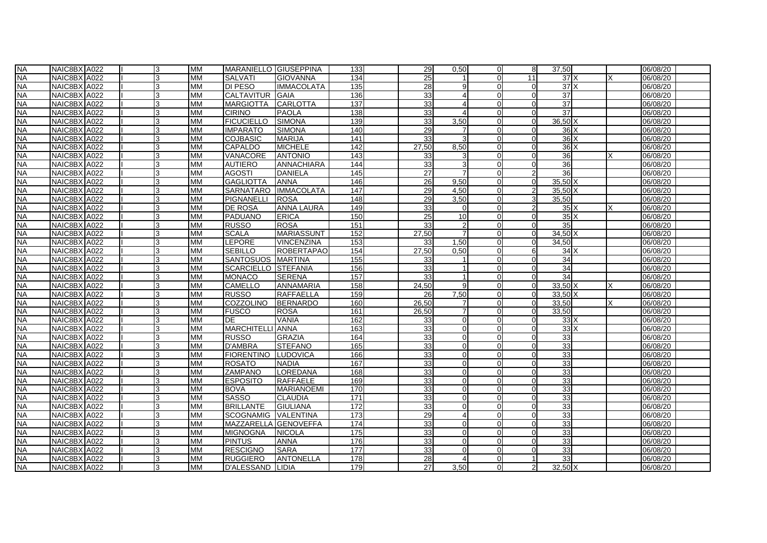| <b>NA</b> | NAIC8BX A022 | 3  | <b>MM</b> | MARANIELLO GIUSEPPINA   |                   | 133              | 29              | 0,50                  | $\Omega$       | 8              | 37,50           |  | 06/08/20 |
|-----------|--------------|----|-----------|-------------------------|-------------------|------------------|-----------------|-----------------------|----------------|----------------|-----------------|--|----------|
| <b>NA</b> | NAIC8BX A022 | 3  | <b>MM</b> | <b>SALVATI</b>          | GIOVANNA          | 134              | 25              |                       |                | 11             | 37 X            |  | 06/08/20 |
| <b>NA</b> | NAIC8BX A022 | 3  | <b>MM</b> | DI PESO                 | <b>IMMACOLATA</b> | 135              | 28              |                       |                | $\Omega$       | 37 <sup>1</sup> |  | 06/08/20 |
| <b>NA</b> | NAIC8BX A022 | 3  | <b>MM</b> | <b>CALTAVITUR</b>       | <b>GAIA</b>       | 136              | 33              |                       | U              | $\Omega$       | 37              |  | 06/08/20 |
| <b>NA</b> | NAIC8BX A022 | 3  | MM        | <b>MARGIOTTA</b>        | <b>CARLOTTA</b>   | 137              | 33              | $\boldsymbol{\Delta}$ | $\Omega$       | $\Omega$       | 37              |  | 06/08/20 |
| <b>NA</b> | NAIC8BX A022 | 3  | <b>MM</b> | <b>CIRINO</b>           | PAOLA             | 138              | 33              |                       | U              | $\Omega$       | 37              |  | 06/08/20 |
| <b>NA</b> | NAIC8BX A022 | 3  | MM        | <b>FICUCIELLO</b>       | <b>SIMONA</b>     | 139              | 33              | 3,50                  | U              | $\Omega$       | $36,50$ X       |  | 06/08/20 |
| <b>NA</b> | NAIC8BX A022 |    | <b>MM</b> | <b>IMPARATO</b>         | <b>SIMONA</b>     | 140              | 29              |                       |                | $\Omega$       | $36$ $X$        |  | 06/08/20 |
| <b>NA</b> | NAIC8BX A022 | 13 | МM        | <b>COJBASIC</b>         | <b>MARIJA</b>     | 141              | 33              |                       | ŋ              | $\overline{0}$ | $36$ $X$        |  | 06/08/20 |
| <b>NA</b> | NAIC8BX A022 | з  | <b>MM</b> | <b>CAPALDO</b>          | <b>MICHELE</b>    | 142              | 27.50           | 8,50                  | U              | $\Omega$       | $36$ $X$        |  | 06/08/20 |
| <b>NA</b> | NAIC8BX A022 | ß  | <b>MM</b> | VANACORE                | <b>ANTONIO</b>    | 143              | 33              |                       | U              | $\Omega$       | 36              |  | 06/08/20 |
| <b>NA</b> | NAIC8BX A022 | 3  | МM        | <b>AUTIERO</b>          | ANNACHIARA        | 144              | 33              |                       | $\overline{0}$ | $\overline{0}$ | 36              |  | 06/08/20 |
| <b>NA</b> | NAIC8BX A022 | 3  | <b>MM</b> | <b>AGOSTI</b>           | <b>DANIELA</b>    | $\overline{145}$ | 27              |                       | $\Omega$       | 2              | 36              |  | 06/08/20 |
| <b>NA</b> | NAIC8BX A022 | 3  | MM        | <b>GAGLIOTTA</b>        | <b>ANNA</b>       | 146              | 26              | 9,50                  |                | $\Omega$       | $35,50$ X       |  | 06/08/20 |
| <b>NA</b> | NAIC8BX A022 | 3  | <b>MM</b> | <b>SARNATARO</b>        | <b>IMMACOLATA</b> | 147              | 29              | 4,50                  |                |                | $35,50$ X       |  | 06/08/20 |
| <b>NA</b> | NAIC8BX A022 | 3  | МM        | <b>PIGNANELLI</b>       | <b>ROSA</b>       | $\overline{148}$ | 29              | 3,50                  | 0              | 3              | 35,50           |  | 06/08/20 |
| <b>NA</b> | NAIC8BX A022 | ß  | <b>MM</b> | DE ROSA                 | <b>ANNA LAURA</b> | 149              | 33              |                       | $\Omega$       | 2              | $35\text{X}$    |  | 06/08/20 |
| <b>NA</b> | NAIC8BX A022 |    | <b>MM</b> | <b>PADUANO</b>          | <b>ERICA</b>      | 150              | 25              | 10                    | $\Omega$       | $\Omega$       | $35\text{X}$    |  | 06/08/20 |
| <b>NA</b> | NAIC8BX A022 | 3  | МM        | RUSSO                   | <b>ROSA</b>       | 151              | 33              |                       | $\Omega$       | $\Omega$       | 35              |  | 06/08/20 |
| <b>NA</b> | NAIC8BX A022 |    | <b>MM</b> | <b>SCALA</b>            | <b>MARIASSUNT</b> | 152              | 27,50           |                       |                | $\Omega$       | $34,50$ X       |  | 06/08/20 |
| <b>NA</b> | NAIC8BX A022 |    | <b>MM</b> | <b>LEPORE</b>           | <b>VINCENZINA</b> | 153              | 33              | 1,50                  |                | $\Omega$       | 34,50           |  | 06/08/20 |
| NА        | NAIC8BX A022 | 3  | MМ        | SEBILLO                 | <b>ROBERTAPAO</b> | 154              | 27.50           | 0,50                  | U              | 6              | 34X             |  | 06/08/20 |
| <b>NA</b> | NAIC8BX A022 | 3  | МM        | <b>SANTOSUOS</b>        | <b>MARTINA</b>    | 155              | 33              |                       | U              | $\Omega$       | 34              |  | 06/08/20 |
| <b>NA</b> | NAIC8BX A022 | 3  | MМ        | <b>SCARCIELLO</b>       | <b>STEFANIA</b>   | 156              | 33              |                       | 0              | $\Omega$       | 34              |  | 06/08/20 |
| <b>NA</b> | NAIC8BX A022 | 3  | <b>MM</b> | <b>MONACO</b>           | <b>SERENA</b>     | 157              | 33 <sup>1</sup> |                       | U              | $\Omega$       | 34              |  | 06/08/20 |
| <b>NA</b> | NAIC8BX A022 | 3  | МM        | CAMELLO                 | <b>ANNAMARIA</b>  | 158              | 24,50           |                       | 0              | $\Omega$       | $33,50$ X       |  | 06/08/20 |
| <b>NA</b> | NAIC8BX A022 |    | <b>MM</b> | <b>RUSSO</b>            | <b>RAFFAELLA</b>  | 159              | 26              | 7,50                  |                | $\Omega$       | $33.50\text{X}$ |  | 06/08/20 |
| <b>NA</b> | NAIC8BX A022 | 3  | МM        | <b>COZZOLINO</b>        | <b>BERNARDO</b>   | 160              | 26,50           |                       | 0              | $\overline{0}$ | 33.50           |  | 06/08/20 |
| <b>NA</b> | NAIC8BX A022 | 3  | МM        | <b>FUSCO</b>            | <b>ROSA</b>       | 161              | 26,50           |                       | $\Omega$       | $\Omega$       | 33,50           |  | 06/08/20 |
| <b>NA</b> | NAIC8BX A022 | ß  | <b>MM</b> | DE                      | <b>VANIA</b>      | 162              | 33              | $\Omega$              | U              | $\Omega$       | 33X             |  | 06/08/20 |
| <b>NA</b> | NAIC8BX A022 | 3  | МM        | <b>MARCHITELLI ANNA</b> |                   | 163              | 33              |                       | $\Omega$       | $\Omega$       | 33X             |  | 06/08/20 |
| <b>NA</b> | NAIC8BX A022 | 3  | MM        | <b>RUSSO</b>            | <b>GRAZIA</b>     | 164              | 33              |                       | U              | $\Omega$       | 33              |  | 06/08/20 |
| <b>NA</b> | NAIC8BX A022 | 3  | <b>MM</b> | <b>D'AMBRA</b>          | <b>STEFANO</b>    | 165              | 33              |                       |                | 0              | 33              |  | 06/08/20 |
| <b>NA</b> | NAIC8BX A022 | 3  | МM        | <b>FIORENTINO</b>       | <b>LUDOVICA</b>   | 166              | 33              |                       |                | $\Omega$       | 33              |  | 06/08/20 |
| <b>NA</b> | NAIC8BX A022 | 3  | <b>MM</b> | <b>ROSATO</b>           | <b>NADIA</b>      | 167              | 33              | ∩                     | U              | $\Omega$       | 33              |  | 06/08/20 |
| <b>NA</b> | NAIC8BX A022 | з  | MM        | <b>ZAMPANO</b>          | LOREDANA          | 168              | 33              | ∩                     | 0              | 0              | 33              |  | 06/08/20 |
| <b>NA</b> | NAIC8BX A022 | 3  | MМ        | <b>ESPOSITO</b>         | <b>RAFFAELE</b>   | 169              | 33              | $\Omega$              | U              | $\Omega$       | 33              |  | 06/08/20 |
| <b>NA</b> | NAIC8BX A022 | 3  | MM        | <b>BOVA</b>             | <b>MARIANOEMI</b> | 170              | 33              |                       | U              | $\Omega$       | 33              |  | 06/08/20 |
| <b>NA</b> | NAIC8BX A022 |    | <b>MM</b> | <b>SASSO</b>            | <b>CLAUDIA</b>    | 171              | 33              |                       |                | $\Omega$       | 33              |  | 06/08/20 |
| <b>NA</b> | NAIC8BX A022 | 13 | МM        | <b>BRILLANTE</b>        | <b>GIULIANA</b>   | 172              | 33              |                       | ŋ              | $\overline{0}$ | 33              |  | 06/08/20 |
| <b>NA</b> | NAIC8BX A022 | з  | <b>MM</b> | <b>SCOGNAMIG</b>        | <b>VALENTINA</b>  | 173              | 29              |                       | U              | $\Omega$       | 33              |  | 06/08/20 |
| <b>NA</b> | NAIC8BX A022 | з  | <b>MM</b> | MAZZARELLA              | <b>GENOVEFFA</b>  | 174              | 33              | ∩                     | U              | $\Omega$       | 33              |  | 06/08/20 |
| <b>NA</b> | NAIC8BX A022 | 3  | МM        | <b>MIGNOGNA</b>         | <b>NICOLA</b>     | 175              | 33              | $\Omega$              | $\Omega$       | $\overline{0}$ | 33              |  | 06/08/20 |
| <b>NA</b> | NAIC8BX A022 | 3  | <b>MM</b> | <b>PINTUS</b>           | <b>ANNA</b>       | 176              | 33              |                       | $\Omega$       | $\Omega$       | 33              |  | 06/08/20 |
| <b>NA</b> | NAIC8BX A022 | 3  | MM        | <b>RESCIGNO</b>         | <b>SARA</b>       | 177              | 33              |                       |                | $\Omega$       | 33              |  | 06/08/20 |
| <b>NA</b> | NAIC8BX A022 | 3  | МM        | <b>RUGGIERO</b>         | <b>ANTONELLA</b>  | 178              | 28              |                       | U              |                | 33              |  | 06/08/20 |
| <b>NA</b> | NAIC8BX A022 | 3  | МM        | <b>D'ALESSAND</b>       | <b>LIDIA</b>      | 179              | 27              | 3,50                  | $\Omega$       | $\overline{2}$ | $32,50$ X       |  | 06/08/20 |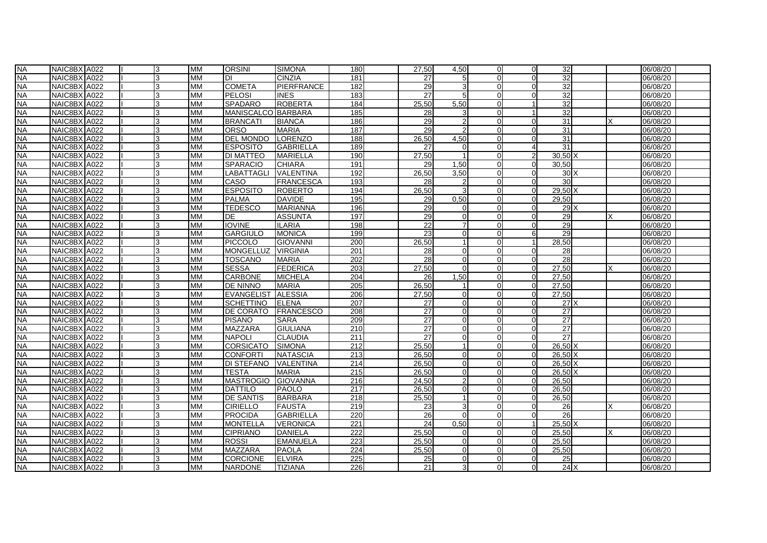| <b>NA</b> | NAIC8BX A022 | 3  | <b>MM</b> | <b>ORSINI</b>      | <b>SIMONA</b>    | 180 | 27,50 | 4,50           | $\Omega$       | $\Omega$       | 32                 |  | 06/08/20 |
|-----------|--------------|----|-----------|--------------------|------------------|-----|-------|----------------|----------------|----------------|--------------------|--|----------|
| <b>NA</b> | NAIC8BX A022 | 3  | <b>MM</b> | DI                 | <b>CINZIA</b>    | 181 | 27    |                |                | $\Omega$       | 32                 |  | 06/08/20 |
| <b>NA</b> | NAIC8BX A022 | 3  | МM        | <b>COMETA</b>      | PIERFRANCE       | 182 | 29    |                |                | $\Omega$       | 32                 |  | 06/08/20 |
| <b>NA</b> | NAIC8BX A022 | 3  | <b>MM</b> | <b>PELOSI</b>      | <b>INES</b>      | 183 | 27    | 5              | U              | $\Omega$       | 32                 |  | 06/08/20 |
| <b>NA</b> | NAIC8BX A022 | l3 | MM        | <b>SPADARO</b>     | <b>ROBERTA</b>   | 184 | 25,50 | 5,50           | $\Omega$       |                | 32                 |  | 06/08/20 |
| <b>NA</b> | NAIC8BX A022 | 3  | <b>MM</b> | MANISCALCO BARBARA |                  | 185 | 28    |                | U              |                | 32                 |  | 06/08/20 |
| <b>NA</b> | NAIC8BX A022 | 3  | MM        | <b>BRANCATI</b>    | <b>BIANCA</b>    | 186 | 29    |                | U              | $\Omega$       | 31                 |  | 06/08/20 |
| <b>NA</b> | NAIC8BX A022 |    | <b>MM</b> | <b>ORSO</b>        | <b>MARIA</b>     | 187 | 29    |                |                |                | 31                 |  | 06/08/20 |
| <b>NA</b> | NAIC8BX A022 | 3  | МM        | <b>DEL MONDO</b>   | <b>LORENZO</b>   | 188 | 26,50 | 4,50           | ŋ              | $\overline{0}$ | 31                 |  | 06/08/20 |
| <b>NA</b> | NAIC8BX A022 | з  | <b>MM</b> | <b>ESPOSITO</b>    | <b>GABRIELLA</b> | 189 | 27    | റ              | U              |                | 31                 |  | 06/08/20 |
| <b>NA</b> | NAIC8BX A022 | ß  | <b>MM</b> | DI MATTEO          | <b>MARIELLA</b>  | 190 | 27,50 | $\overline{1}$ | U              | 2              | $30,50$ X          |  | 06/08/20 |
| <b>NA</b> | NAIC8BX A022 | 13 | МM        | <b>SPARACIO</b>    | <b>CHIARA</b>    | 191 | 29    | 1,50           | $\overline{0}$ | $\overline{0}$ | 30,50              |  | 06/08/20 |
| <b>NA</b> | NAIC8BX A022 | 3  | <b>MM</b> | <b>LABATTAGLI</b>  | VALENTINA        | 192 | 26,50 | 3,50           | $\Omega$       | $\Omega$       | 30X                |  | 06/08/20 |
| <b>NA</b> | NAIC8BX A022 |    | <b>MM</b> | CASO               | <b>FRANCESCA</b> | 193 | 28    |                |                | $\Omega$       | 30                 |  | 06/08/20 |
| <b>NA</b> | NAIC8BX A022 | 3  | <b>MM</b> | <b>ESPOSITO</b>    | <b>ROBERTO</b>   | 194 | 26,50 |                |                | $\Omega$       | $29,50$ X          |  | 06/08/20 |
| <b>NA</b> | NAIC8BX A022 | 3  | MM        | <b>PALMA</b>       | <b>DAVIDE</b>    | 195 | 29    | 0,50           | 0              | $\overline{0}$ | 29.50              |  | 06/08/20 |
| <b>NA</b> | NAIC8BX A022 | з  | <b>MM</b> | <b>TEDESCO</b>     | <b>MARIANNA</b>  | 196 | 29    |                | U              | $\Omega$       | 29X                |  | 06/08/20 |
| <b>NA</b> | NAIC8BX A022 |    | <b>MM</b> | DE                 | <b>ASSUNTA</b>   | 197 | 29    |                | U              | $\Omega$       | 29                 |  | 06/08/20 |
| <b>NA</b> | NAIC8BX A022 | 3  | МM        | <b>IOVINE</b>      | <b>ILARIA</b>    | 198 | 22    |                | $\Omega$       | $\overline{0}$ | 29                 |  | 06/08/20 |
| <b>NA</b> | NAIC8BX A022 |    | <b>MM</b> | <b>GARGIULO</b>    | <b>MONICA</b>    | 199 | 23    |                |                | 6              | 29                 |  | 06/08/20 |
| <b>NA</b> | NAIC8BX A022 |    | <b>MM</b> | <b>PICCOLO</b>     | <b>GIOVANNI</b>  | 200 | 26,50 |                |                |                | 28,50              |  | 06/08/20 |
| NА        | NAIC8BX A022 | 3  | MМ        | <b>MONGELLUZ</b>   | <b>VIRGINIA</b>  | 201 | 28    | O              | U              | 0              | 28                 |  | 06/08/20 |
| <b>NA</b> | NAIC8BX A022 | 3  | MM        | <b>TOSCANO</b>     | <b>MARIA</b>     | 202 | 28    | $\Omega$       | U              | $\Omega$       | 28                 |  | 06/08/20 |
| <b>NA</b> | NAIC8BX A022 | ß  | <b>MM</b> | <b>SESSA</b>       | <b>FEDERICA</b>  | 203 | 27,50 | $\Omega$       | 0              | $\Omega$       | 27,50              |  | 06/08/20 |
| <b>NA</b> | NAIC8BX A022 | 3  | <b>MM</b> | <b>CARBONE</b>     | <b>MICHELA</b>   | 204 | 26    | 1,50           | U              | $\Omega$       | 27,50              |  | 06/08/20 |
| <b>NA</b> | NAIC8BX A022 | 3  | МM        | DE NINNO           | <b>MARIA</b>     | 205 | 26,50 |                | U              | $\Omega$       | 27,50              |  | 06/08/20 |
| <b>NA</b> | NAIC8BX A022 |    | <b>MM</b> | <b>EVANGELIST</b>  | <b>ALESSIA</b>   | 206 | 27,50 |                |                | $\Omega$       | $\overline{27,50}$ |  | 06/08/20 |
| <b>NA</b> | NAIC8BX A022 | 3  | МM        | <b>SCHETTINO</b>   | <b>ELENA</b>     | 207 | 27    | ∩              | U              | $\overline{0}$ | $27$ $X$           |  | 06/08/20 |
| <b>NA</b> | NAIC8BX A022 | 3  | MM        | DE CORATO          | <b>FRANCESCO</b> | 208 | 27    | ∩              | $\Omega$       | $\Omega$       | $\overline{27}$    |  | 06/08/20 |
| <b>NA</b> | NAIC8BX A022 | з  | <b>MM</b> | <b>PISANO</b>      | <b>SARA</b>      | 209 | 27    | ∩              | U              | $\Omega$       | $\overline{27}$    |  | 06/08/20 |
| <b>NA</b> | NAIC8BX A022 |    | МM        | MAZZARA            | <b>GIULIANA</b>  | 210 | 27    |                | $\Omega$       | $\Omega$       | 27                 |  | 06/08/20 |
| <b>NA</b> | NAIC8BX A022 |    | <b>MM</b> | <b>NAPOLI</b>      | <b>CLAUDIA</b>   | 211 | 27    |                | U              | $\Omega$       | 27                 |  | 06/08/20 |
| <b>NA</b> | NAIC8BX A022 | 3  | <b>MM</b> | <b>CORSICATO</b>   | <b>SIMONA</b>    | 212 | 25,50 |                |                | $\overline{0}$ | $26,50$ X          |  | 06/08/20 |
| <b>NA</b> | NAIC8BX A022 | 3  | МM        | <b>CONFORTI</b>    | <b>NATASCIA</b>  | 213 | 26.50 |                |                | $\Omega$       | $26.50\text{X}$    |  | 06/08/20 |
| <b>NA</b> | NAIC8BX A022 | з  | <b>MM</b> | <b>DI STEFANO</b>  | <b>VALENTINA</b> | 214 | 26,50 | ∩              | U              | $\Omega$       | $26.50\text{X}$    |  | 06/08/20 |
| <b>NA</b> | NAIC8BX A022 | з  | MM        | <b>TESTA</b>       | MARIA            | 215 | 26,50 | ∩              | U              | $\Omega$       | $26,50$ X          |  | 06/08/20 |
| <b>NA</b> | NAIC8BX A022 | l3 | <b>MM</b> | <b>MASTROGIO</b>   | <b>GIOVANNA</b>  | 216 | 24,50 |                | U              | $\Omega$       | 26,50              |  | 06/08/20 |
| <b>NA</b> | NAIC8BX A022 | 3  | MM        | <b>DATTILO</b>     | <b>PAOLO</b>     | 217 | 26,50 |                | U              | $\Omega$       | 26,50              |  | 06/08/20 |
| <b>NA</b> | NAIC8BX A022 |    | <b>MM</b> | <b>DE SANTIS</b>   | <b>BARBARA</b>   | 218 | 25,50 |                |                | $\Omega$       | 26,50              |  | 06/08/20 |
| <b>NA</b> | NAIC8BX A022 | 3  | МM        | <b>CIRIELLO</b>    | <b>FAUSTA</b>    | 219 | 23    | 3              | ŋ              | $\overline{0}$ | 26                 |  | 06/08/20 |
| <b>NA</b> | NAIC8BX A022 | з  | <b>MM</b> | <b>PROCIDA</b>     | <b>GABRIELLA</b> | 220 | 26    | $\Omega$       | U              | $\Omega$       | 26                 |  | 06/08/20 |
| <b>NA</b> | NAIC8BX A022 |    | <b>MM</b> | <b>MONTELLA</b>    | <b>VERONICA</b>  | 221 | 24    | 0,50           | U              |                | $25,50$ X          |  | 06/08/20 |
| <b>NA</b> | NAIC8BX A022 | 13 | МM        | <b>CIPRIANO</b>    | <b>DANIELA</b>   | 222 | 25,50 |                | $\Omega$       | $\Omega$       | 25,50              |  | 06/08/20 |
| <b>NA</b> | NAIC8BX A022 | 3  | <b>MM</b> | <b>ROSSI</b>       | <b>EMANUELA</b>  | 223 | 25,50 |                | U              | $\Omega$       | 25,50              |  | 06/08/20 |
| <b>NA</b> | NAIC8BX A022 |    | <b>MM</b> | MAZZARA            | <b>PAOLA</b>     | 224 | 25,50 |                |                | $\Omega$       | 25,50              |  | 06/08/20 |
| <b>NA</b> | NAIC8BX A022 | 3  | <b>MM</b> | CORCIONE           | <b>ELVIRA</b>    | 225 | 25    | ∩              | O              | 0              | 25                 |  | 06/08/20 |
| <b>NA</b> | NAIC8BX A022 | 3  | МM        | <b>NARDONE</b>     | <b>TIZIANA</b>   | 226 | 21    |                | 01             | $\Omega$       | $24$ $X$           |  | 06/08/20 |